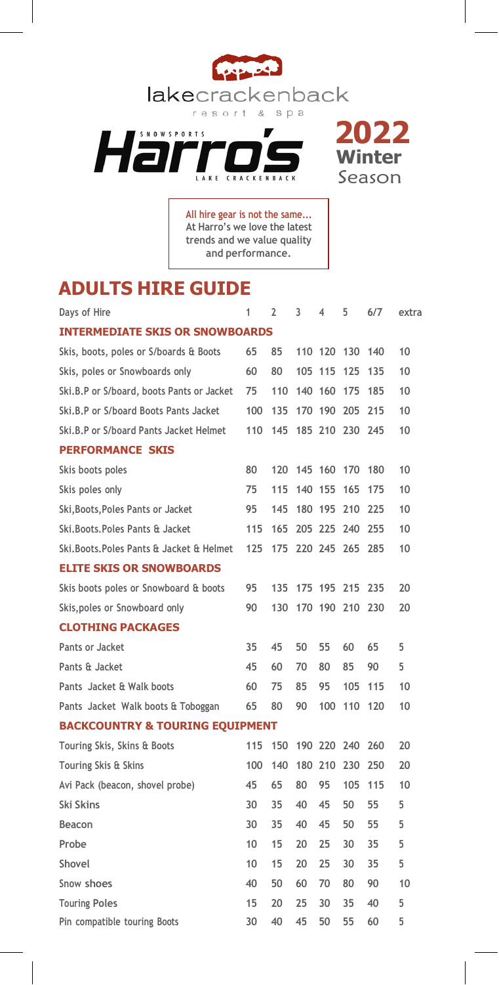





**All hire gear is not the same... At Harro's we love the latest trends and we value quality and performance.**

## **ADULTS HIRE GUIDE**

| Days of Hire                                | 1   | 2   | 3           | $\overline{4}$ | 5   | 6/7 | extra |  |  |  |  |
|---------------------------------------------|-----|-----|-------------|----------------|-----|-----|-------|--|--|--|--|
| <b>INTERMEDIATE SKIS OR SNOWBOARDS</b>      |     |     |             |                |     |     |       |  |  |  |  |
| Skis, boots, poles or S/boards & Boots      | 65  | 85  |             | 110 120        | 130 | 140 | 10    |  |  |  |  |
| Skis, poles or Snowboards only              | 60  | 80  | 105         | 115            | 125 | 135 | 10    |  |  |  |  |
| Ski, B, P or S/board, boots Pants or Jacket | 75  | 110 | 140 160     |                | 175 | 185 | 10    |  |  |  |  |
| Ski.B.P or S/board Boots Pants Jacket       | 100 | 135 |             | 170 190        | 205 | 215 | 10    |  |  |  |  |
| Ski.B.P or S/board Pants Jacket Helmet      | 110 | 145 |             | 185 210 230    |     | 245 | 10    |  |  |  |  |
| <b>PERFORMANCE SKIS</b>                     |     |     |             |                |     |     |       |  |  |  |  |
| Skis boots poles                            | 80  |     | 120 145 160 |                | 170 | 180 | 10    |  |  |  |  |
| Skis poles only                             | 75  | 115 | 140         | 155            | 165 | 175 | 10    |  |  |  |  |
| Ski, Boots, Poles Pants or Jacket           | 95  | 145 | 180 195     |                | 210 | 225 | 10    |  |  |  |  |
| Ski. Boots. Poles Pants & Jacket            | 115 | 165 |             | 205 225        | 240 | 255 | 10    |  |  |  |  |
| Ski. Boots. Poles Pants & Jacket & Helmet   | 125 | 175 |             | 220 245 265    |     | 285 | 10    |  |  |  |  |
| <b>ELITE SKIS OR SNOWBOARDS</b>             |     |     |             |                |     |     |       |  |  |  |  |
| Skis boots poles or Snowboard & boots       | 95  | 135 | 175 195     |                | 215 | 235 | 20    |  |  |  |  |
| Skis, poles or Snowboard only               | 90  | 130 |             | 170 190        | 210 | 230 | 20    |  |  |  |  |
| <b>CLOTHING PACKAGES</b>                    |     |     |             |                |     |     |       |  |  |  |  |
| Pants or Jacket                             | 35  | 45  | 50          | 55             | 60  | 65  | 5     |  |  |  |  |
| Pants & Jacket                              | 45  | 60  | 70          | 80             | 85  | 90  | 5     |  |  |  |  |
| Pants Jacket & Walk boots                   | 60  | 75  | 85          | 95             | 105 | 115 | 10    |  |  |  |  |
| Pants Jacket Walk boots & Toboggan          | 65  | 80  | 90          | 100            | 110 | 120 | 10    |  |  |  |  |
| <b>BACKCOUNTRY &amp; TOURING EQUIPMENT</b>  |     |     |             |                |     |     |       |  |  |  |  |
| Touring Skis, Skins & Boots                 | 115 | 150 | 190         | 220            | 240 | 260 | 20    |  |  |  |  |
| Touring Skis & Skins                        | 100 | 140 | 180         | 210            | 230 | 250 | 20    |  |  |  |  |
| Avi Pack (beacon, shovel probe)             | 45  | 65  | 80          | 95             | 105 | 115 | 10    |  |  |  |  |
| Ski Skins                                   | 30  | 35  | 40          | 45             | 50  | 55  | 5     |  |  |  |  |
| Beacon                                      | 30  | 35  | 40          | 45             | 50  | 55  | 5     |  |  |  |  |
| Probe                                       | 10  | 15  | 20          | 25             | 30  | 35  | 5     |  |  |  |  |
| Shovel                                      | 10  | 15  | 20          | 25             | 30  | 35  | 5     |  |  |  |  |
| Snow shoes                                  | 40  | 50  | 60          | 70             | 80  | 90  | 10    |  |  |  |  |
| <b>Touring Poles</b>                        | 15  | 20  | 25          | 30             | 35  | 40  | 5     |  |  |  |  |
| Pin compatible touring Boots                | 30  | 40  | 45          | 50             | 55  | 60  | 5     |  |  |  |  |